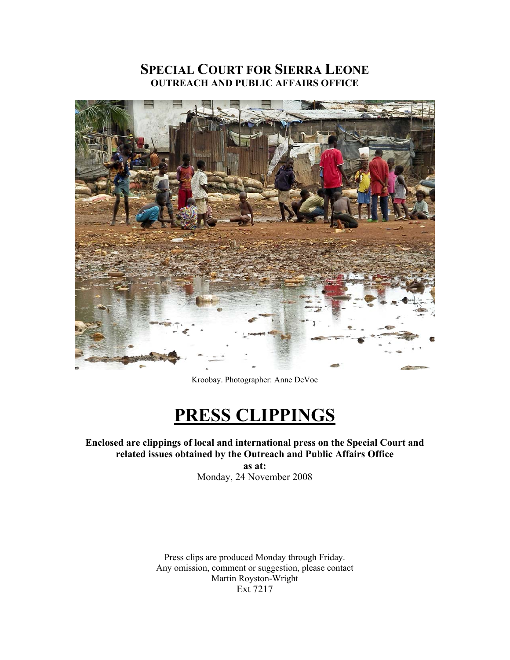# **SPECIAL COURT FOR SIERRA LEONE OUTREACH AND PUBLIC AFFAIRS OFFICE**



Kroobay. Photographer: Anne DeVoe

# **PRESS CLIPPINGS**

# **Enclosed are clippings of local and international press on the Special Court and related issues obtained by the Outreach and Public Affairs Office**

**as at:**  Monday, 24 November 2008

Press clips are produced Monday through Friday. Any omission, comment or suggestion, please contact Martin Royston-Wright Ext 7217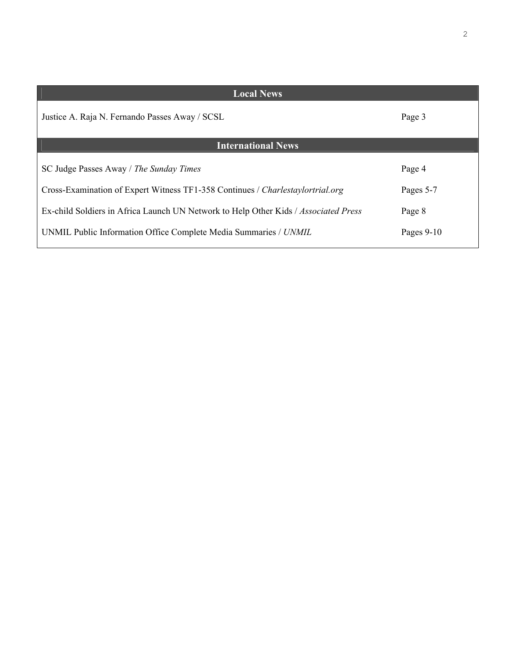| <b>Local News</b>                                                                   |              |
|-------------------------------------------------------------------------------------|--------------|
| Justice A. Raja N. Fernando Passes Away / SCSL                                      | Page 3       |
| <b>International News</b>                                                           |              |
| SC Judge Passes Away / The Sunday Times                                             | Page 4       |
| Cross-Examination of Expert Witness TF1-358 Continues / Charlestaylortrial.org      | Pages 5-7    |
| Ex-child Soldiers in Africa Launch UN Network to Help Other Kids / Associated Press | Page 8       |
| UNMIL Public Information Office Complete Media Summaries / UNMIL                    | Pages $9-10$ |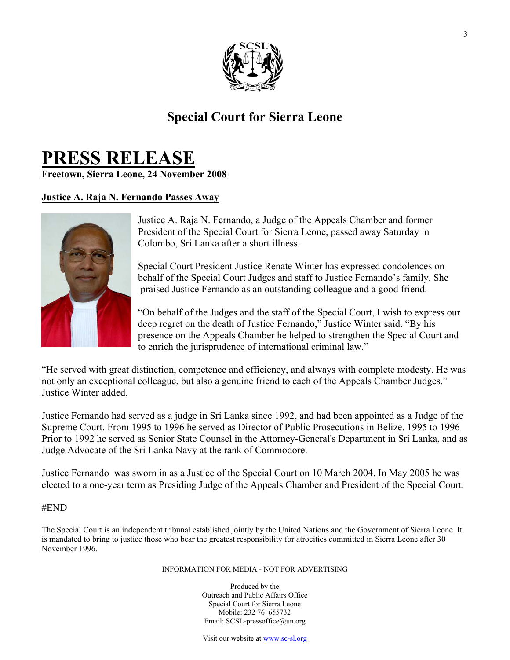

# **Special Court for Sierra Leone**

# **PRESS RELEASE Freetown, Sierra Leone, 24 November 2008**

# **Justice A. Raja N. Fernando Passes Away**



Justice A. Raja N. Fernando, a Judge of the Appeals Chamber and former President of the Special Court for Sierra Leone, passed away Saturday in Colombo, Sri Lanka after a short illness.

Special Court President Justice Renate Winter has expressed condolences on behalf of the Special Court Judges and staff to Justice Fernando's family. She praised Justice Fernando as an outstanding colleague and a good friend.

"On behalf of the Judges and the staff of the Special Court, I wish to express our deep regret on the death of Justice Fernando," Justice Winter said. "By his presence on the Appeals Chamber he helped to strengthen the Special Court and to enrich the jurisprudence of international criminal law."

"He served with great distinction, competence and efficiency, and always with complete modesty. He was not only an exceptional colleague, but also a genuine friend to each of the Appeals Chamber Judges," Justice Winter added.

Justice Fernando had served as a judge in Sri Lanka since 1992, and had been appointed as a Judge of the Supreme Court. From 1995 to 1996 he served as Director of Public Prosecutions in Belize. 1995 to 1996 Prior to 1992 he served as Senior State Counsel in the Attorney-General's Department in Sri Lanka, and as Judge Advocate of the Sri Lanka Navy at the rank of Commodore.

Justice Fernando was sworn in as a Justice of the Special Court on 10 March 2004. In May 2005 he was elected to a one-year term as Presiding Judge of the Appeals Chamber and President of the Special Court.

#### #END

The Special Court is an independent tribunal established jointly by the United Nations and the Government of Sierra Leone. It is mandated to bring to justice those who bear the greatest responsibility for atrocities committed in Sierra Leone after 30 November 1996.

#### INFORMATION FOR MEDIA - NOT FOR ADVERTISING

Produced by the Outreach and Public Affairs Office Special Court for Sierra Leone Mobile: 232 76 655732 Email: SCSL-pressoffice@un.org

Visit our website at www.sc-sl.org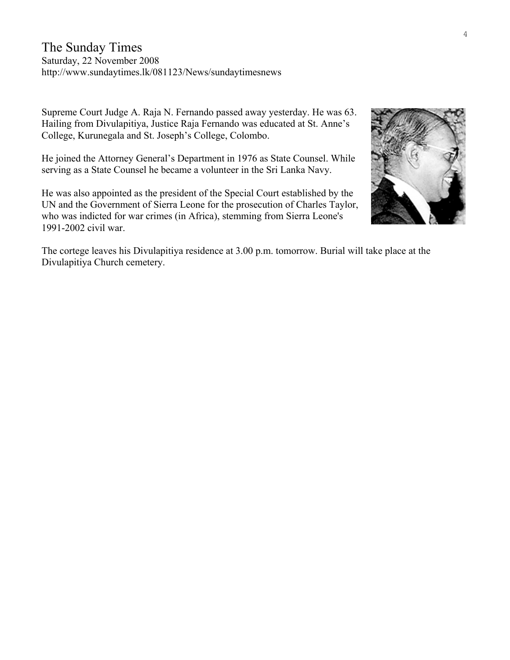# The Sunday Times Saturday, 22 November 2008 http://www.sundaytimes.lk/081123/News/sundaytimesnews

Supreme Court Judge A. Raja N. Fernando passed away yesterday. He was 63. Hailing from Divulapitiya, Justice Raja Fernando was educated at St. Anne's College, Kurunegala and St. Joseph's College, Colombo.

He joined the Attorney General's Department in 1976 as State Counsel. While serving as a State Counsel he became a volunteer in the Sri Lanka Navy.

He was also appointed as the president of the Special Court established by the UN and the Government of Sierra Leone for the prosecution of Charles Taylor, who was indicted for war crimes (in Africa), stemming from Sierra Leone's 1991-2002 civil war.



The cortege leaves his Divulapitiya residence at 3.00 p.m. tomorrow. Burial will take place at the Divulapitiya Church cemetery.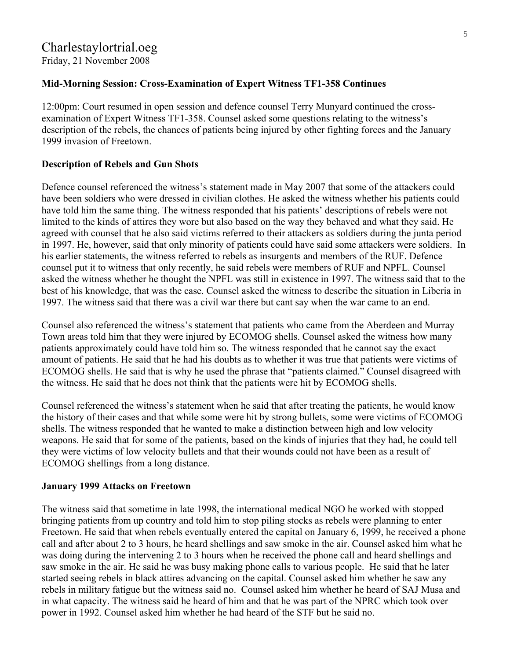# Charlestaylortrial.oeg Friday, 21 November 2008

# **Mid-Morning Session: Cross-Examination of Expert Witness TF1-358 Continues**

12:00pm: Court resumed in open session and defence counsel Terry Munyard continued the crossexamination of Expert Witness TF1-358. Counsel asked some questions relating to the witness's description of the rebels, the chances of patients being injured by other fighting forces and the January 1999 invasion of Freetown.

## **Description of Rebels and Gun Shots**

Defence counsel referenced the witness's statement made in May 2007 that some of the attackers could have been soldiers who were dressed in civilian clothes. He asked the witness whether his patients could have told him the same thing. The witness responded that his patients' descriptions of rebels were not limited to the kinds of attires they wore but also based on the way they behaved and what they said. He agreed with counsel that he also said victims referred to their attackers as soldiers during the junta period in 1997. He, however, said that only minority of patients could have said some attackers were soldiers. In his earlier statements, the witness referred to rebels as insurgents and members of the RUF. Defence counsel put it to witness that only recently, he said rebels were members of RUF and NPFL. Counsel asked the witness whether he thought the NPFL was still in existence in 1997. The witness said that to the best of his knowledge, that was the case. Counsel asked the witness to describe the situation in Liberia in 1997. The witness said that there was a civil war there but cant say when the war came to an end.

Counsel also referenced the witness's statement that patients who came from the Aberdeen and Murray Town areas told him that they were injured by ECOMOG shells. Counsel asked the witness how many patients approximately could have told him so. The witness responded that he cannot say the exact amount of patients. He said that he had his doubts as to whether it was true that patients were victims of ECOMOG shells. He said that is why he used the phrase that "patients claimed." Counsel disagreed with the witness. He said that he does not think that the patients were hit by ECOMOG shells.

Counsel referenced the witness's statement when he said that after treating the patients, he would know the history of their cases and that while some were hit by strong bullets, some were victims of ECOMOG shells. The witness responded that he wanted to make a distinction between high and low velocity weapons. He said that for some of the patients, based on the kinds of injuries that they had, he could tell they were victims of low velocity bullets and that their wounds could not have been as a result of ECOMOG shellings from a long distance.

## **January 1999 Attacks on Freetown**

The witness said that sometime in late 1998, the international medical NGO he worked with stopped bringing patients from up country and told him to stop piling stocks as rebels were planning to enter Freetown. He said that when rebels eventually entered the capital on January 6, 1999, he received a phone call and after about 2 to 3 hours, he heard shellings and saw smoke in the air. Counsel asked him what he was doing during the intervening 2 to 3 hours when he received the phone call and heard shellings and saw smoke in the air. He said he was busy making phone calls to various people. He said that he later started seeing rebels in black attires advancing on the capital. Counsel asked him whether he saw any rebels in military fatigue but the witness said no. Counsel asked him whether he heard of SAJ Musa and in what capacity. The witness said he heard of him and that he was part of the NPRC which took over power in 1992. Counsel asked him whether he had heard of the STF but he said no.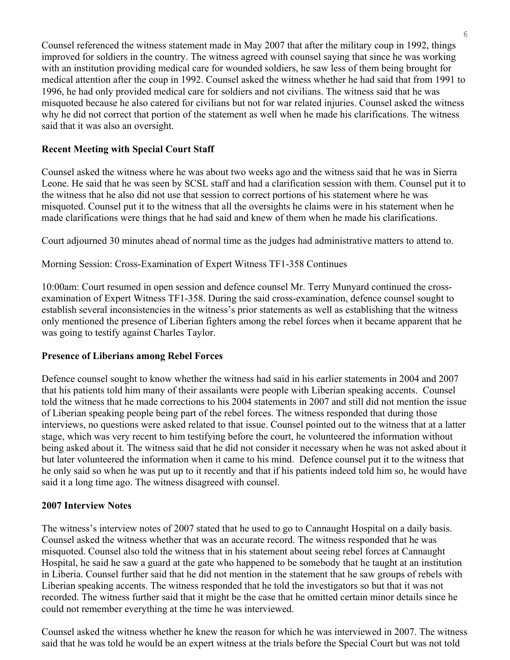Counsel referenced the witness statement made in May 2007 that after the military coup in 1992, things improved for soldiers in the country. The witness agreed with counsel saying that since he was working with an institution providing medical care for wounded soldiers, he saw less of them being brought for medical attention after the coup in 1992. Counsel asked the witness whether he had said that from 1991 to 1996, he had only provided medical care for soldiers and not civilians. The witness said that he was misquoted because he also catered for civilians but not for war related injuries. Counsel asked the witness why he did not correct that portion of the statement as well when he made his clarifications. The witness said that it was also an oversight.

# **Recent Meeting with Special Court Staff**

Counsel asked the witness where he was about two weeks ago and the witness said that he was in Sierra Leone. He said that he was seen by SCSL staff and had a clarification session with them. Counsel put it to the witness that he also did not use that session to correct portions of his statement where he was misquoted. Counsel put it to the witness that all the oversights he claims were in his statement when he made clarifications were things that he had said and knew of them when he made his clarifications.

Court adjourned 30 minutes ahead of normal time as the judges had administrative matters to attend to.

Morning Session: Cross-Examination of Expert Witness TF1-358 Continues

10:00am: Court resumed in open session and defence counsel Mr. Terry Munyard continued the crossexamination of Expert Witness TF1-358. During the said cross-examination, defence counsel sought to establish several inconsistencies in the witness's prior statements as well as establishing that the witness only mentioned the presence of Liberian fighters among the rebel forces when it became apparent that he was going to testify against Charles Taylor.

# **Presence of Liberians among Rebel Forces**

Defence counsel sought to know whether the witness had said in his earlier statements in 2004 and 2007 that his patients told him many of their assailants were people with Liberian speaking accents. Counsel told the witness that he made corrections to his 2004 statements in 2007 and still did not mention the issue of Liberian speaking people being part of the rebel forces. The witness responded that during those interviews, no questions were asked related to that issue. Counsel pointed out to the witness that at a latter stage, which was very recent to him testifying before the court, he volunteered the information without being asked about it. The witness said that he did not consider it necessary when he was not asked about it but later volunteered the information when it came to his mind. Defence counsel put it to the witness that he only said so when he was put up to it recently and that if his patients indeed told him so, he would have said it a long time ago. The witness disagreed with counsel.

# **2007 Interview Notes**

The witness's interview notes of 2007 stated that he used to go to Cannaught Hospital on a daily basis. Counsel asked the witness whether that was an accurate record. The witness responded that he was misquoted. Counsel also told the witness that in his statement about seeing rebel forces at Cannaught Hospital, he said he saw a guard at the gate who happened to be somebody that he taught at an institution in Liberia. Counsel further said that he did not mention in the statement that he saw groups of rebels with Liberian speaking accents. The witness responded that he told the investigators so but that it was not recorded. The witness further said that it might be the case that he omitted certain minor details since he could not remember everything at the time he was interviewed.

Counsel asked the witness whether he knew the reason for which he was interviewed in 2007. The witness said that he was told he would be an expert witness at the trials before the Special Court but was not told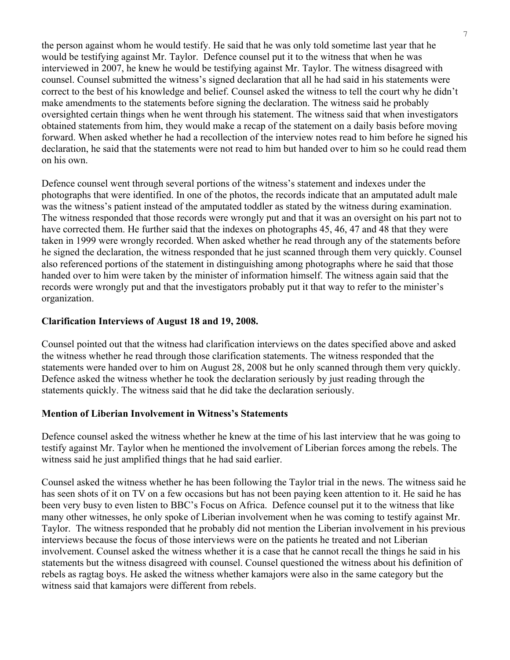the person against whom he would testify. He said that he was only told sometime last year that he would be testifying against Mr. Taylor. Defence counsel put it to the witness that when he was interviewed in 2007, he knew he would be testifying against Mr. Taylor. The witness disagreed with counsel. Counsel submitted the witness's signed declaration that all he had said in his statements were correct to the best of his knowledge and belief. Counsel asked the witness to tell the court why he didn't make amendments to the statements before signing the declaration. The witness said he probably oversighted certain things when he went through his statement. The witness said that when investigators obtained statements from him, they would make a recap of the statement on a daily basis before moving forward. When asked whether he had a recollection of the interview notes read to him before he signed his declaration, he said that the statements were not read to him but handed over to him so he could read them on his own.

Defence counsel went through several portions of the witness's statement and indexes under the photographs that were identified. In one of the photos, the records indicate that an amputated adult male was the witness's patient instead of the amputated toddler as stated by the witness during examination. The witness responded that those records were wrongly put and that it was an oversight on his part not to have corrected them. He further said that the indexes on photographs 45, 46, 47 and 48 that they were taken in 1999 were wrongly recorded. When asked whether he read through any of the statements before he signed the declaration, the witness responded that he just scanned through them very quickly. Counsel also referenced portions of the statement in distinguishing among photographs where he said that those handed over to him were taken by the minister of information himself. The witness again said that the records were wrongly put and that the investigators probably put it that way to refer to the minister's organization.

# **Clarification Interviews of August 18 and 19, 2008.**

Counsel pointed out that the witness had clarification interviews on the dates specified above and asked the witness whether he read through those clarification statements. The witness responded that the statements were handed over to him on August 28, 2008 but he only scanned through them very quickly. Defence asked the witness whether he took the declaration seriously by just reading through the statements quickly. The witness said that he did take the declaration seriously.

## **Mention of Liberian Involvement in Witness's Statements**

Defence counsel asked the witness whether he knew at the time of his last interview that he was going to testify against Mr. Taylor when he mentioned the involvement of Liberian forces among the rebels. The witness said he just amplified things that he had said earlier.

Counsel asked the witness whether he has been following the Taylor trial in the news. The witness said he has seen shots of it on TV on a few occasions but has not been paying keen attention to it. He said he has been very busy to even listen to BBC's Focus on Africa. Defence counsel put it to the witness that like many other witnesses, he only spoke of Liberian involvement when he was coming to testify against Mr. Taylor. The witness responded that he probably did not mention the Liberian involvement in his previous interviews because the focus of those interviews were on the patients he treated and not Liberian involvement. Counsel asked the witness whether it is a case that he cannot recall the things he said in his statements but the witness disagreed with counsel. Counsel questioned the witness about his definition of rebels as ragtag boys. He asked the witness whether kamajors were also in the same category but the witness said that kamajors were different from rebels.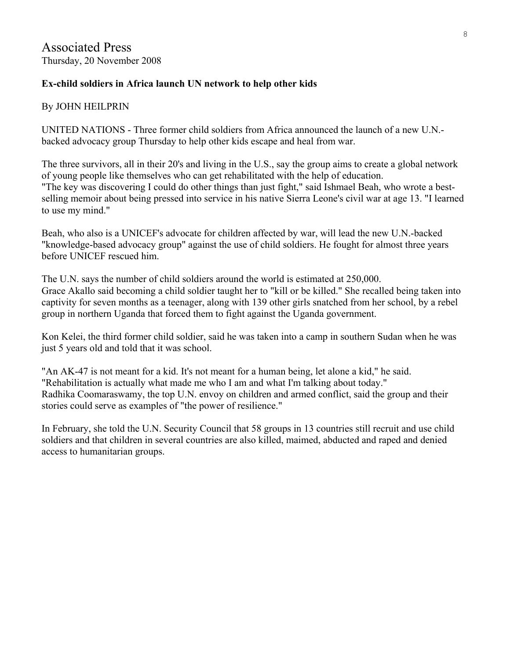# **Ex-child soldiers in Africa launch UN network to help other kids**

# By JOHN HEILPRIN

UNITED NATIONS - Three former child soldiers from Africa announced the launch of a new U.N. backed advocacy group Thursday to help other kids escape and heal from war.

The three survivors, all in their 20's and living in the U.S., say the group aims to create a global network of young people like themselves who can get rehabilitated with the help of education. "The key was discovering I could do other things than just fight," said Ishmael Beah, who wrote a bestselling memoir about being pressed into service in his native Sierra Leone's civil war at age 13. "I learned to use my mind."

Beah, who also is a UNICEF's advocate for children affected by war, will lead the new U.N.-backed "knowledge-based advocacy group" against the use of child soldiers. He fought for almost three years before UNICEF rescued him.

The U.N. says the number of child soldiers around the world is estimated at 250,000. Grace Akallo said becoming a child soldier taught her to "kill or be killed." She recalled being taken into captivity for seven months as a teenager, along with 139 other girls snatched from her school, by a rebel group in northern Uganda that forced them to fight against the Uganda government.

Kon Kelei, the third former child soldier, said he was taken into a camp in southern Sudan when he was just 5 years old and told that it was school.

"An AK-47 is not meant for a kid. It's not meant for a human being, let alone a kid," he said. "Rehabilitation is actually what made me who I am and what I'm talking about today." Radhika Coomaraswamy, the top U.N. envoy on children and armed conflict, said the group and their stories could serve as examples of "the power of resilience."

In February, she told the U.N. Security Council that 58 groups in 13 countries still recruit and use child soldiers and that children in several countries are also killed, maimed, abducted and raped and denied access to humanitarian groups.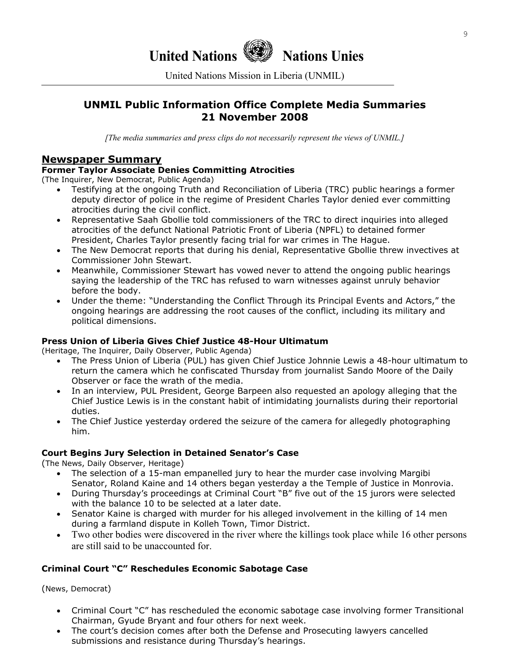# **United Nations Nations Unies**

United Nations Mission in Liberia (UNMIL)

# **UNMIL Public Information Office Complete Media Summaries 21 November 2008**

*[The media summaries and press clips do not necessarily represent the views of UNMIL.]*

# **Newspaper Summary**

## **Former Taylor Associate Denies Committing Atrocities**

(The Inquirer, New Democrat, Public Agenda)

- Testifying at the ongoing Truth and Reconciliation of Liberia (TRC) public hearings a former deputy director of police in the regime of President Charles Taylor denied ever committing atrocities during the civil conflict.
- Representative Saah Gbollie told commissioners of the TRC to direct inquiries into alleged atrocities of the defunct National Patriotic Front of Liberia (NPFL) to detained former President, Charles Taylor presently facing trial for war crimes in The Hague.
- The New Democrat reports that during his denial, Representative Gbollie threw invectives at Commissioner John Stewart.
- Meanwhile, Commissioner Stewart has vowed never to attend the ongoing public hearings saying the leadership of the TRC has refused to warn witnesses against unruly behavior before the body.
- Under the theme: "Understanding the Conflict Through its Principal Events and Actors," the ongoing hearings are addressing the root causes of the conflict, including its military and political dimensions.

#### **Press Union of Liberia Gives Chief Justice 48-Hour Ultimatum**

(Heritage, The Inquirer, Daily Observer, Public Agenda)

- The Press Union of Liberia (PUL) has given Chief Justice Johnnie Lewis a 48-hour ultimatum to return the camera which he confiscated Thursday from journalist Sando Moore of the Daily Observer or face the wrath of the media.
- In an interview, PUL President, George Barpeen also requested an apology alleging that the Chief Justice Lewis is in the constant habit of intimidating journalists during their reportorial duties.
- The Chief Justice yesterday ordered the seizure of the camera for allegedly photographing him.

#### **Court Begins Jury Selection in Detained Senator's Case**

(The News, Daily Observer, Heritage)

- The selection of a 15-man empanelled jury to hear the murder case involving Margibi Senator, Roland Kaine and 14 others began yesterday a the Temple of Justice in Monrovia.
- During Thursday's proceedings at Criminal Court "B" five out of the 15 jurors were selected with the balance 10 to be selected at a later date.
- Senator Kaine is charged with murder for his alleged involvement in the killing of 14 men during a farmland dispute in Kolleh Town, Timor District.
- Two other bodies were discovered in the river where the killings took place while 16 other persons are still said to be unaccounted for.

## **Criminal Court "C" Reschedules Economic Sabotage Case**

(News, Democrat)

- Criminal Court "C" has rescheduled the economic sabotage case involving former Transitional Chairman, Gyude Bryant and four others for next week.
- The court's decision comes after both the Defense and Prosecuting lawyers cancelled submissions and resistance during Thursday's hearings.